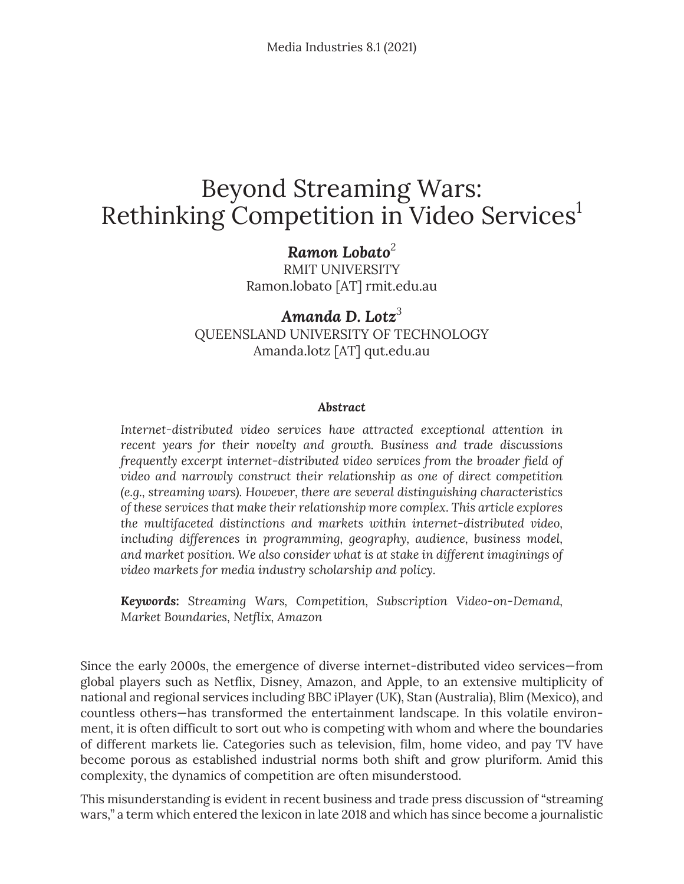# Beyond Streaming Wars: Rethinking Competition in Video Services<sup>1</sup>

### *Ramon Lobato<sup>2</sup>*

RMIT UNIVERSITY Ramon.lobato [AT] rmit.edu.au

### *Amanda D. Lotz<sup>3</sup>* QUEENSLAND UNIVERSITY OF TECHNOLOGY Amanda.lotz [AT] qut.edu.au

#### *Abstract*

*Internet-distributed video services have attracted exceptional attention in recent years for their novelty and growth. Business and trade discussions frequently excerpt internet-distributed video services from the broader field of video and narrowly construct their relationship as one of direct competition (e.g., streaming wars). However, there are several distinguishing characteristics of these services that make their relationship more complex. This article explores the multifaceted distinctions and markets within internet-distributed video, including differences in programming, geography, audience, business model, and market position. We also consider what is at stake in different imaginings of video markets for media industry scholarship and policy.*

*Keywords: Streaming Wars, Competition, Subscription Video-on-Demand, Market Boundaries, Netflix, Amazon*

Since the early 2000s, the emergence of diverse internet-distributed video services—from global players such as Netflix, Disney, Amazon, and Apple, to an extensive multiplicity of national and regional services including BBC iPlayer (UK), Stan (Australia), Blim (Mexico), and countless others—has transformed the entertainment landscape. In this volatile environment, it is often difficult to sort out who is competing with whom and where the boundaries of different markets lie. Categories such as television, film, home video, and pay TV have become porous as established industrial norms both shift and grow pluriform. Amid this complexity, the dynamics of competition are often misunderstood.

This misunderstanding is evident in recent business and trade press discussion of "streaming wars," a term which entered the lexicon in late 2018 and which has since become a journalistic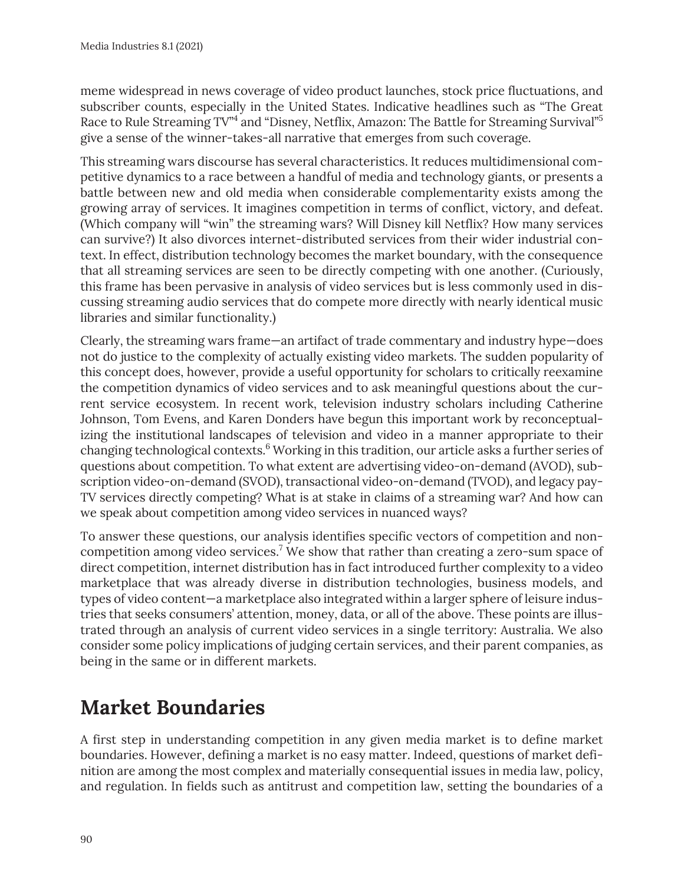meme widespread in news coverage of video product launches, stock price fluctuations, and subscriber counts, especially in the United States. Indicative headlines such as "The Great Race to Rule Streaming TV"<sup>4</sup> and "Disney, Netflix, Amazon: The Battle for Streaming Survival"<sup>5</sup> give a sense of the winner-takes-all narrative that emerges from such coverage.

This streaming wars discourse has several characteristics. It reduces multidimensional competitive dynamics to a race between a handful of media and technology giants, or presents a battle between new and old media when considerable complementarity exists among the growing array of services. It imagines competition in terms of conflict, victory, and defeat. (Which company will "win" the streaming wars? Will Disney kill Netflix? How many services can survive?) It also divorces internet-distributed services from their wider industrial context. In effect, distribution technology becomes the market boundary, with the consequence that all streaming services are seen to be directly competing with one another. (Curiously, this frame has been pervasive in analysis of video services but is less commonly used in discussing streaming audio services that do compete more directly with nearly identical music libraries and similar functionality.)

Clearly, the streaming wars frame—an artifact of trade commentary and industry hype—does not do justice to the complexity of actually existing video markets. The sudden popularity of this concept does, however, provide a useful opportunity for scholars to critically reexamine the competition dynamics of video services and to ask meaningful questions about the current service ecosystem. In recent work, television industry scholars including Catherine Johnson, Tom Evens, and Karen Donders have begun this important work by reconceptualizing the institutional landscapes of television and video in a manner appropriate to their changing technological contexts.<sup>6</sup> Working in this tradition, our article asks a further series of questions about competition. To what extent are advertising video-on-demand (AVOD), subscription video-on-demand (SVOD), transactional video-on-demand (TVOD), and legacy pay-TV services directly competing? What is at stake in claims of a streaming war? And how can we speak about competition among video services in nuanced ways?

To answer these questions, our analysis identifies specific vectors of competition and noncompetition among video services.<sup>7</sup> We show that rather than creating a zero-sum space of direct competition, internet distribution has in fact introduced further complexity to a video marketplace that was already diverse in distribution technologies, business models, and types of video content—a marketplace also integrated within a larger sphere of leisure industries that seeks consumers' attention, money, data, or all of the above. These points are illustrated through an analysis of current video services in a single territory: Australia. We also consider some policy implications of judging certain services, and their parent companies, as being in the same or in different markets.

## **Market Boundaries**

A first step in understanding competition in any given media market is to define market boundaries. However, defining a market is no easy matter. Indeed, questions of market definition are among the most complex and materially consequential issues in media law, policy, and regulation. In fields such as antitrust and competition law, setting the boundaries of a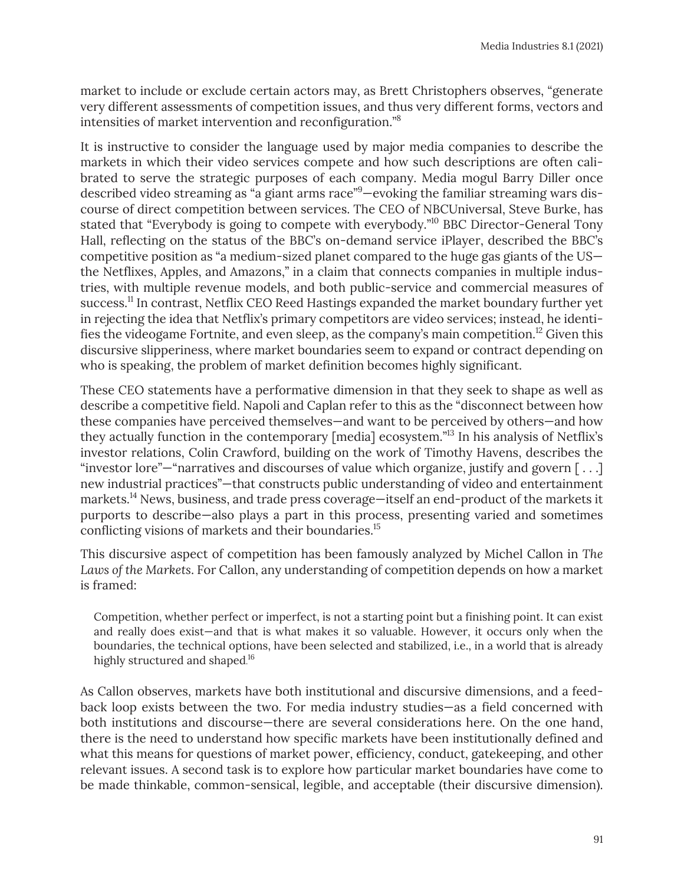market to include or exclude certain actors may, as Brett Christophers observes, "generate very different assessments of competition issues, and thus very different forms, vectors and intensities of market intervention and reconfiguration."8

It is instructive to consider the language used by major media companies to describe the markets in which their video services compete and how such descriptions are often calibrated to serve the strategic purposes of each company. Media mogul Barry Diller once described video streaming as "a giant arms race"<sup>9</sup>—evoking the familiar streaming wars discourse of direct competition between services. The CEO of NBCUniversal, Steve Burke, has stated that "Everybody is going to compete with everybody."<sup>10</sup> BBC Director-General Tony Hall, reflecting on the status of the BBC's on-demand service iPlayer, described the BBC's competitive position as "a medium-sized planet compared to the huge gas giants of the US the Netflixes, Apples, and Amazons," in a claim that connects companies in multiple industries, with multiple revenue models, and both public-service and commercial measures of success.<sup>11</sup> In contrast, Netflix CEO Reed Hastings expanded the market boundary further yet in rejecting the idea that Netflix's primary competitors are video services; instead, he identifies the videogame Fortnite, and even sleep, as the company's main competition.<sup>12</sup> Given this discursive slipperiness, where market boundaries seem to expand or contract depending on who is speaking, the problem of market definition becomes highly significant.

These CEO statements have a performative dimension in that they seek to shape as well as describe a competitive field. Napoli and Caplan refer to this as the "disconnect between how these companies have perceived themselves—and want to be perceived by others—and how they actually function in the contemporary [media] ecosystem."13 In his analysis of Netflix's investor relations, Colin Crawford, building on the work of Timothy Havens, describes the "investor lore"—"narratives and discourses of value which organize, justify and govern [ . . .] new industrial practices"—that constructs public understanding of video and entertainment markets.<sup>14</sup> News, business, and trade press coverage—itself an end-product of the markets it purports to describe—also plays a part in this process, presenting varied and sometimes conflicting visions of markets and their boundaries.<sup>15</sup>

This discursive aspect of competition has been famously analyzed by Michel Callon in *The Laws of the Markets*. For Callon, any understanding of competition depends on how a market is framed:

Competition, whether perfect or imperfect, is not a starting point but a finishing point. It can exist and really does exist—and that is what makes it so valuable. However, it occurs only when the boundaries, the technical options, have been selected and stabilized, i.e., in a world that is already highly structured and shaped.<sup>16</sup>

As Callon observes, markets have both institutional and discursive dimensions, and a feedback loop exists between the two. For media industry studies—as a field concerned with both institutions and discourse—there are several considerations here. On the one hand, there is the need to understand how specific markets have been institutionally defined and what this means for questions of market power, efficiency, conduct, gatekeeping, and other relevant issues. A second task is to explore how particular market boundaries have come to be made thinkable, common-sensical, legible, and acceptable (their discursive dimension).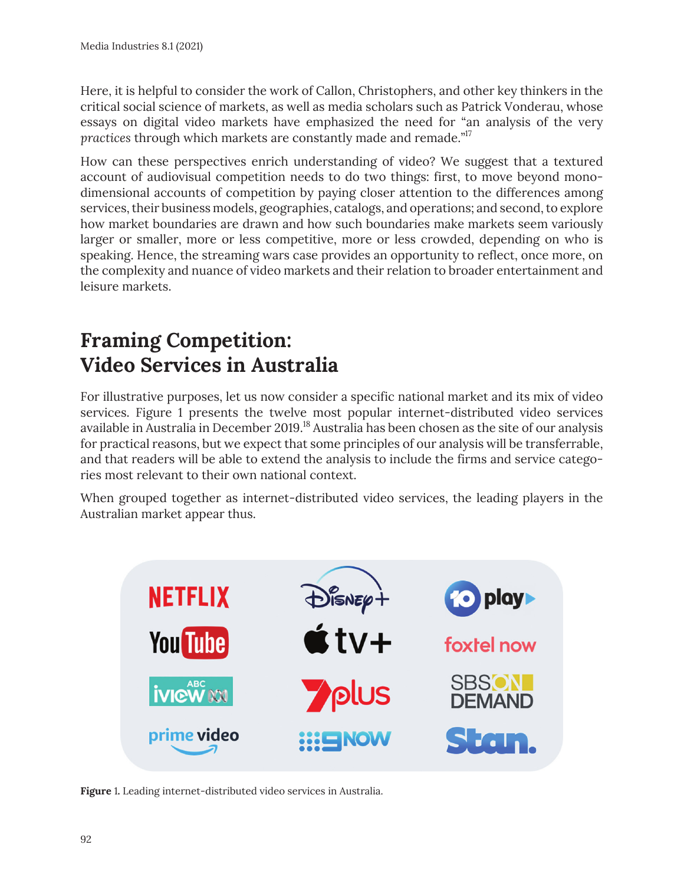Here, it is helpful to consider the work of Callon, Christophers, and other key thinkers in the critical social science of markets, as well as media scholars such as Patrick Vonderau, whose essays on digital video markets have emphasized the need for "an analysis of the very *practices* through which markets are constantly made and remade."17

How can these perspectives enrich understanding of video? We suggest that a textured account of audiovisual competition needs to do two things: first, to move beyond monodimensional accounts of competition by paying closer attention to the differences among services, their business models, geographies, catalogs, and operations; and second, to explore how market boundaries are drawn and how such boundaries make markets seem variously larger or smaller, more or less competitive, more or less crowded, depending on who is speaking. Hence, the streaming wars case provides an opportunity to reflect, once more, on the complexity and nuance of video markets and their relation to broader entertainment and leisure markets.

## **Framing Competition: Video Services in Australia**

For illustrative purposes, let us now consider a specific national market and its mix of video services. Figure 1 presents the twelve most popular internet-distributed video services available in Australia in December 2019.18 Australia has been chosen as the site of our analysis for practical reasons, but we expect that some principles of our analysis will be transferrable, and that readers will be able to extend the analysis to include the firms and service categories most relevant to their own national context.

When grouped together as internet-distributed video services, the leading players in the Australian market appear thus.



**Figure** 1**.** Leading internet-distributed video services in Australia.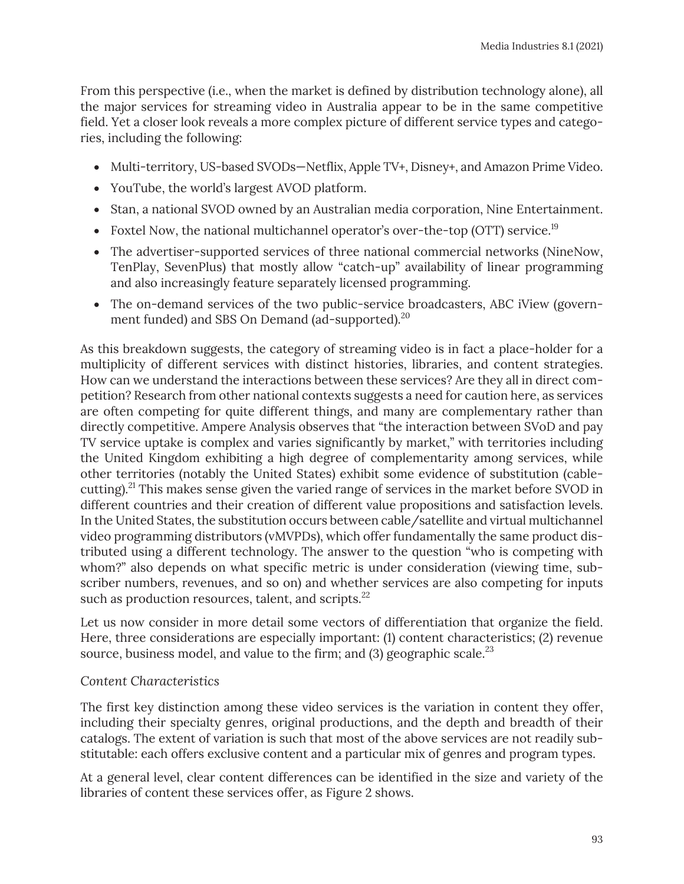From this perspective (i.e., when the market is defined by distribution technology alone), all the major services for streaming video in Australia appear to be in the same competitive field. Yet a closer look reveals a more complex picture of different service types and categories, including the following:

- Multi-territory, US-based SVODs—Netflix, Apple TV+, Disney+, and Amazon Prime Video.
- YouTube, the world's largest AVOD platform.
- Stan, a national SVOD owned by an Australian media corporation, Nine Entertainment.
- Foxtel Now, the national multichannel operator's over-the-top (OTT) service.<sup>19</sup>
- The advertiser-supported services of three national commercial networks (NineNow, TenPlay, SevenPlus) that mostly allow "catch-up" availability of linear programming and also increasingly feature separately licensed programming.
- The on-demand services of the two public-service broadcasters, ABC iView (government funded) and SBS On Demand (ad-supported).<sup>20</sup>

As this breakdown suggests, the category of streaming video is in fact a place-holder for a multiplicity of different services with distinct histories, libraries, and content strategies. How can we understand the interactions between these services? Are they all in direct competition? Research from other national contexts suggests a need for caution here, as services are often competing for quite different things, and many are complementary rather than directly competitive. Ampere Analysis observes that "the interaction between SVoD and pay TV service uptake is complex and varies significantly by market," with territories including the United Kingdom exhibiting a high degree of complementarity among services, while other territories (notably the United States) exhibit some evidence of substitution (cablecutting).<sup>21</sup> This makes sense given the varied range of services in the market before SVOD in different countries and their creation of different value propositions and satisfaction levels. In the United States, the substitution occurs between cable/satellite and virtual multichannel video programming distributors (vMVPDs), which offer fundamentally the same product distributed using a different technology. The answer to the question "who is competing with whom?" also depends on what specific metric is under consideration (viewing time, subscriber numbers, revenues, and so on) and whether services are also competing for inputs such as production resources, talent, and scripts.<sup>22</sup>

Let us now consider in more detail some vectors of differentiation that organize the field. Here, three considerations are especially important: (1) content characteristics; (2) revenue source, business model, and value to the firm; and  $(3)$  geographic scale.<sup>23</sup>

#### *Content Characteristics*

The first key distinction among these video services is the variation in content they offer, including their specialty genres, original productions, and the depth and breadth of their catalogs. The extent of variation is such that most of the above services are not readily substitutable: each offers exclusive content and a particular mix of genres and program types.

At a general level, clear content differences can be identified in the size and variety of the libraries of content these services offer, as Figure 2 shows.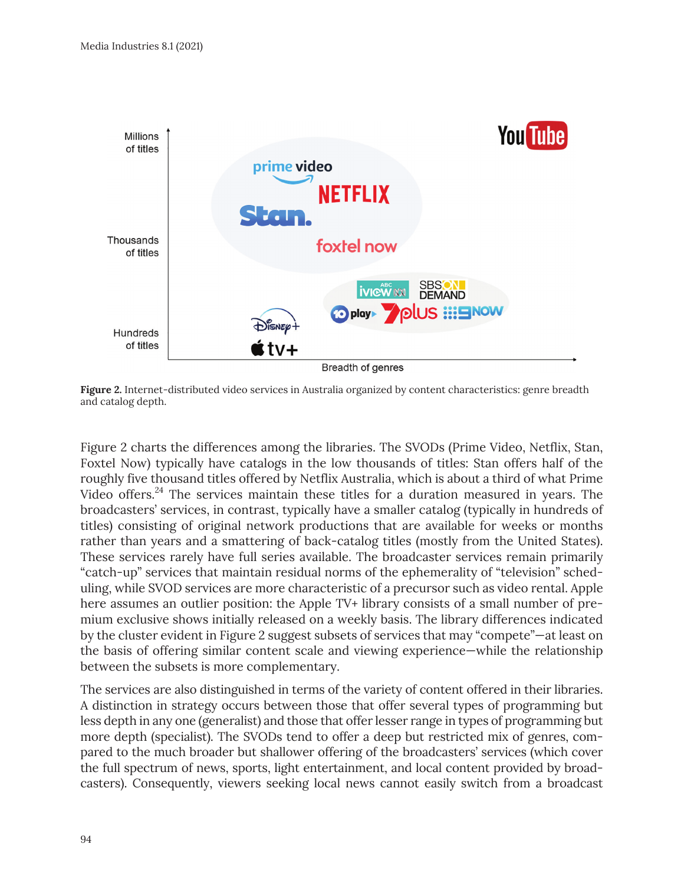

**Figure 2.** Internet-distributed video services in Australia organized by content characteristics: genre breadth and catalog depth.

Figure 2 charts the differences among the libraries. The SVODs (Prime Video, Netflix, Stan, Foxtel Now) typically have catalogs in the low thousands of titles: Stan offers half of the roughly five thousand titles offered by Netflix Australia, which is about a third of what Prime Video offers.<sup>24</sup> The services maintain these titles for a duration measured in years. The broadcasters' services, in contrast, typically have a smaller catalog (typically in hundreds of titles) consisting of original network productions that are available for weeks or months rather than years and a smattering of back-catalog titles (mostly from the United States). These services rarely have full series available. The broadcaster services remain primarily "catch-up" services that maintain residual norms of the ephemerality of "television" scheduling, while SVOD services are more characteristic of a precursor such as video rental. Apple here assumes an outlier position: the Apple TV+ library consists of a small number of premium exclusive shows initially released on a weekly basis. The library differences indicated by the cluster evident in Figure 2 suggest subsets of services that may "compete"—at least on the basis of offering similar content scale and viewing experience—while the relationship between the subsets is more complementary.

The services are also distinguished in terms of the variety of content offered in their libraries. A distinction in strategy occurs between those that offer several types of programming but less depth in any one (generalist) and those that offer lesser range in types of programming but more depth (specialist). The SVODs tend to offer a deep but restricted mix of genres, compared to the much broader but shallower offering of the broadcasters' services (which cover the full spectrum of news, sports, light entertainment, and local content provided by broadcasters). Consequently, viewers seeking local news cannot easily switch from a broadcast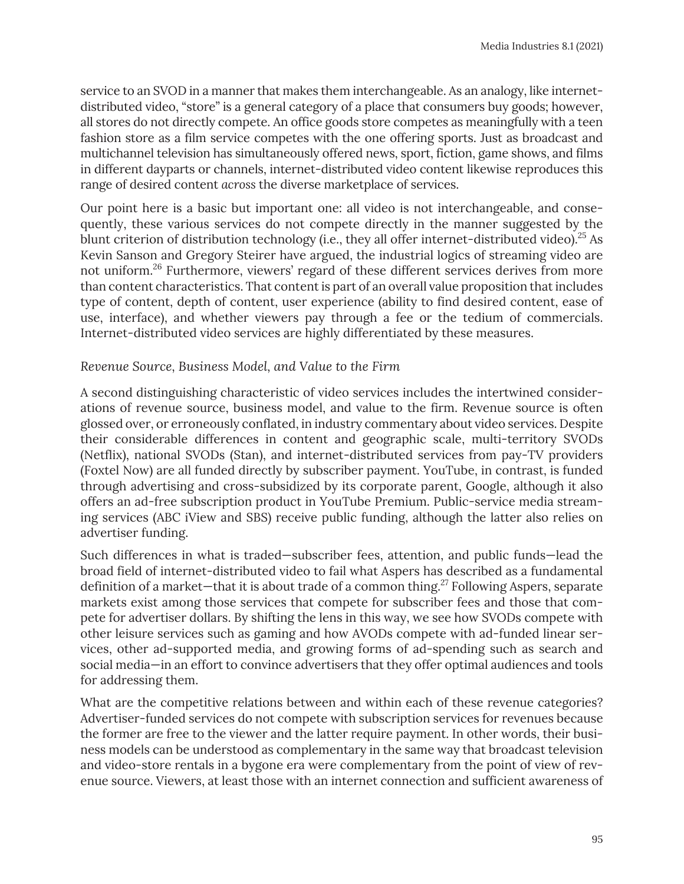service to an SVOD in a manner that makes them interchangeable. As an analogy, like internetdistributed video, "store" is a general category of a place that consumers buy goods; however, all stores do not directly compete. An office goods store competes as meaningfully with a teen fashion store as a film service competes with the one offering sports. Just as broadcast and multichannel television has simultaneously offered news, sport, fiction, game shows, and films in different dayparts or channels, internet-distributed video content likewise reproduces this range of desired content *across* the diverse marketplace of services.

Our point here is a basic but important one: all video is not interchangeable, and consequently, these various services do not compete directly in the manner suggested by the blunt criterion of distribution technology (i.e., they all offer internet-distributed video).<sup>25</sup> As Kevin Sanson and Gregory Steirer have argued, the industrial logics of streaming video are not uniform.26 Furthermore, viewers' regard of these different services derives from more than content characteristics. That content is part of an overall value proposition that includes type of content, depth of content, user experience (ability to find desired content, ease of use, interface), and whether viewers pay through a fee or the tedium of commercials. Internet-distributed video services are highly differentiated by these measures.

#### *Revenue Source, Business Model, and Value to the Firm*

A second distinguishing characteristic of video services includes the intertwined considerations of revenue source, business model, and value to the firm. Revenue source is often glossed over, or erroneously conflated, in industry commentary about video services. Despite their considerable differences in content and geographic scale, multi-territory SVODs (Netflix), national SVODs (Stan), and internet-distributed services from pay-TV providers (Foxtel Now) are all funded directly by subscriber payment. YouTube, in contrast, is funded through advertising and cross-subsidized by its corporate parent, Google, although it also offers an ad-free subscription product in YouTube Premium. Public-service media streaming services (ABC iView and SBS) receive public funding, although the latter also relies on advertiser funding.

Such differences in what is traded—subscriber fees, attention, and public funds—lead the broad field of internet-distributed video to fail what Aspers has described as a fundamental definition of a market—that it is about trade of a common thing.<sup>27</sup> Following Aspers, separate markets exist among those services that compete for subscriber fees and those that compete for advertiser dollars. By shifting the lens in this way, we see how SVODs compete with other leisure services such as gaming and how AVODs compete with ad-funded linear services, other ad-supported media, and growing forms of ad-spending such as search and social media—in an effort to convince advertisers that they offer optimal audiences and tools for addressing them.

What are the competitive relations between and within each of these revenue categories? Advertiser-funded services do not compete with subscription services for revenues because the former are free to the viewer and the latter require payment. In other words, their business models can be understood as complementary in the same way that broadcast television and video-store rentals in a bygone era were complementary from the point of view of revenue source. Viewers, at least those with an internet connection and sufficient awareness of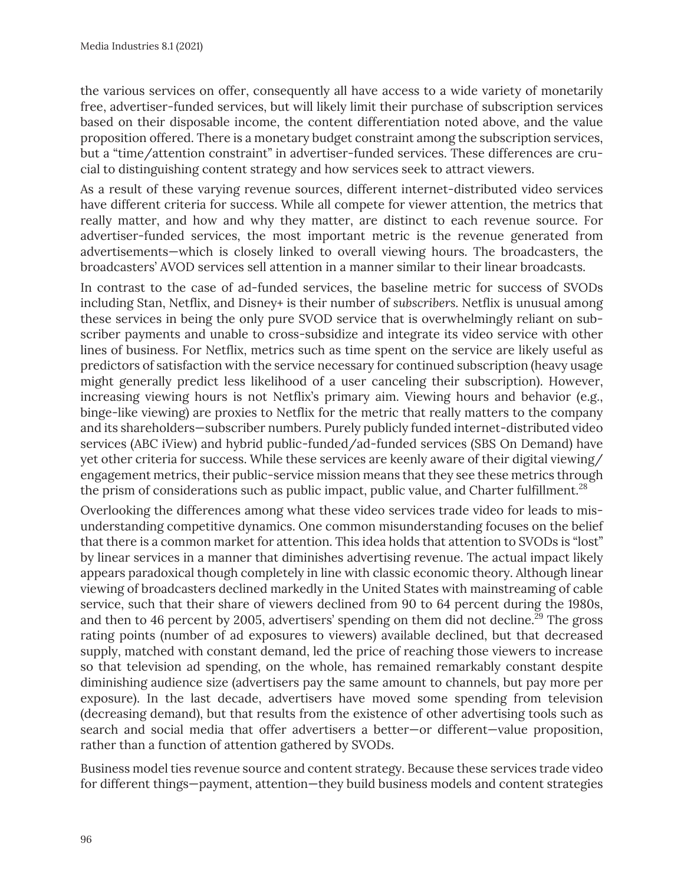the various services on offer, consequently all have access to a wide variety of monetarily free, advertiser-funded services, but will likely limit their purchase of subscription services based on their disposable income, the content differentiation noted above, and the value proposition offered. There is a monetary budget constraint among the subscription services, but a "time/attention constraint" in advertiser-funded services. These differences are crucial to distinguishing content strategy and how services seek to attract viewers.

As a result of these varying revenue sources, different internet-distributed video services have different criteria for success. While all compete for viewer attention, the metrics that really matter, and how and why they matter, are distinct to each revenue source. For advertiser-funded services, the most important metric is the revenue generated from advertisements—which is closely linked to overall viewing hours. The broadcasters, the broadcasters' AVOD services sell attention in a manner similar to their linear broadcasts.

In contrast to the case of ad-funded services, the baseline metric for success of SVODs including Stan, Netflix, and Disney+ is their number of *subscribers.* Netflix is unusual among these services in being the only pure SVOD service that is overwhelmingly reliant on subscriber payments and unable to cross-subsidize and integrate its video service with other lines of business. For Netflix, metrics such as time spent on the service are likely useful as predictors of satisfaction with the service necessary for continued subscription (heavy usage might generally predict less likelihood of a user canceling their subscription). However, increasing viewing hours is not Netflix's primary aim. Viewing hours and behavior (e.g., binge-like viewing) are proxies to Netflix for the metric that really matters to the company and its shareholders—subscriber numbers. Purely publicly funded internet-distributed video services (ABC iView) and hybrid public-funded/ad-funded services (SBS On Demand) have yet other criteria for success. While these services are keenly aware of their digital viewing/ engagement metrics, their public-service mission means that they see these metrics through the prism of considerations such as public impact, public value, and Charter fulfillment.<sup>28</sup>

Overlooking the differences among what these video services trade video for leads to misunderstanding competitive dynamics. One common misunderstanding focuses on the belief that there is a common market for attention. This idea holds that attention to SVODs is "lost" by linear services in a manner that diminishes advertising revenue. The actual impact likely appears paradoxical though completely in line with classic economic theory. Although linear viewing of broadcasters declined markedly in the United States with mainstreaming of cable service, such that their share of viewers declined from 90 to 64 percent during the 1980s, and then to 46 percent by 2005, advertisers' spending on them did not decline.<sup>29</sup> The gross rating points (number of ad exposures to viewers) available declined, but that decreased supply, matched with constant demand, led the price of reaching those viewers to increase so that television ad spending, on the whole, has remained remarkably constant despite diminishing audience size (advertisers pay the same amount to channels, but pay more per exposure). In the last decade, advertisers have moved some spending from television (decreasing demand), but that results from the existence of other advertising tools such as search and social media that offer advertisers a better—or different—value proposition, rather than a function of attention gathered by SVODs.

Business model ties revenue source and content strategy. Because these services trade video for different things—payment, attention—they build business models and content strategies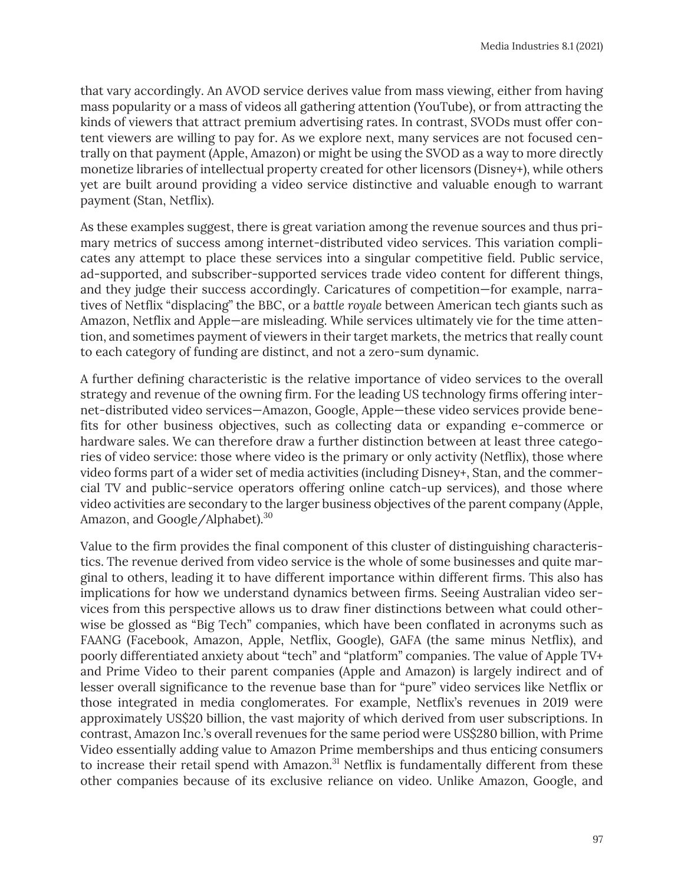that vary accordingly. An AVOD service derives value from mass viewing, either from having mass popularity or a mass of videos all gathering attention (YouTube), or from attracting the kinds of viewers that attract premium advertising rates. In contrast, SVODs must offer content viewers are willing to pay for. As we explore next, many services are not focused centrally on that payment (Apple, Amazon) or might be using the SVOD as a way to more directly monetize libraries of intellectual property created for other licensors (Disney+), while others yet are built around providing a video service distinctive and valuable enough to warrant payment (Stan, Netflix).

As these examples suggest, there is great variation among the revenue sources and thus primary metrics of success among internet-distributed video services. This variation complicates any attempt to place these services into a singular competitive field. Public service, ad-supported, and subscriber-supported services trade video content for different things, and they judge their success accordingly. Caricatures of competition—for example, narratives of Netflix "displacing" the BBC, or a *battle royale* between American tech giants such as Amazon, Netflix and Apple—are misleading. While services ultimately vie for the time attention, and sometimes payment of viewers in their target markets, the metrics that really count to each category of funding are distinct, and not a zero-sum dynamic.

A further defining characteristic is the relative importance of video services to the overall strategy and revenue of the owning firm. For the leading US technology firms offering internet-distributed video services—Amazon, Google, Apple—these video services provide benefits for other business objectives, such as collecting data or expanding e-commerce or hardware sales. We can therefore draw a further distinction between at least three categories of video service: those where video is the primary or only activity (Netflix), those where video forms part of a wider set of media activities (including Disney+, Stan, and the commercial TV and public-service operators offering online catch-up services), and those where video activities are secondary to the larger business objectives of the parent company (Apple, Amazon, and Google/Alphabet).<sup>30</sup>

Value to the firm provides the final component of this cluster of distinguishing characteristics. The revenue derived from video service is the whole of some businesses and quite marginal to others, leading it to have different importance within different firms. This also has implications for how we understand dynamics between firms. Seeing Australian video services from this perspective allows us to draw finer distinctions between what could otherwise be glossed as "Big Tech" companies, which have been conflated in acronyms such as FAANG (Facebook, Amazon, Apple, Netflix, Google), GAFA (the same minus Netflix), and poorly differentiated anxiety about "tech" and "platform" companies. The value of Apple TV+ and Prime Video to their parent companies (Apple and Amazon) is largely indirect and of lesser overall significance to the revenue base than for "pure" video services like Netflix or those integrated in media conglomerates. For example, Netflix's revenues in 2019 were approximately US\$20 billion, the vast majority of which derived from user subscriptions. In contrast, Amazon Inc.'s overall revenues for the same period were US\$280 billion, with Prime Video essentially adding value to Amazon Prime memberships and thus enticing consumers to increase their retail spend with Amazon.<sup>31</sup> Netflix is fundamentally different from these other companies because of its exclusive reliance on video. Unlike Amazon, Google, and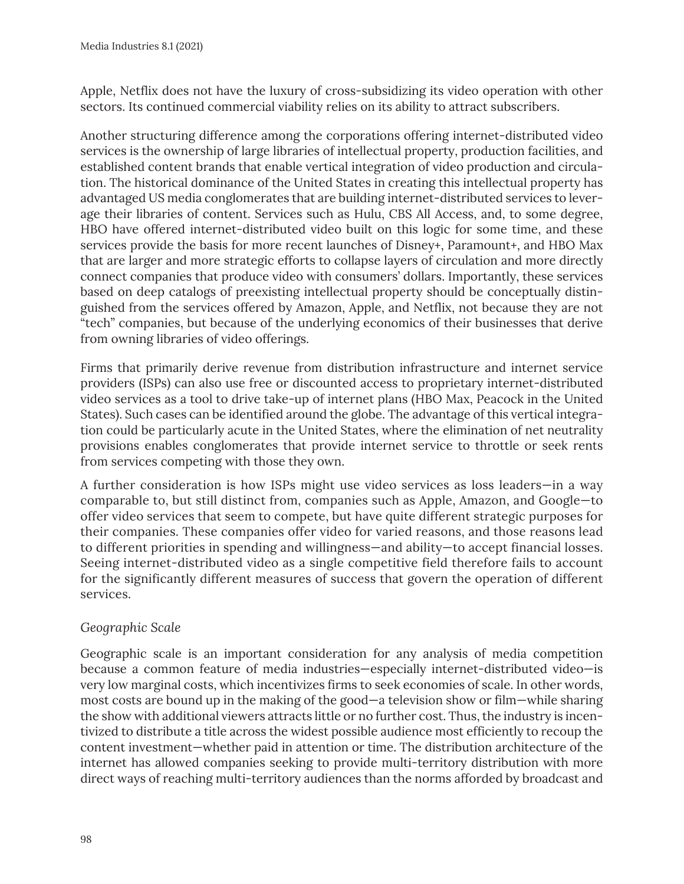Apple, Netflix does not have the luxury of cross-subsidizing its video operation with other sectors. Its continued commercial viability relies on its ability to attract subscribers.

Another structuring difference among the corporations offering internet-distributed video services is the ownership of large libraries of intellectual property, production facilities, and established content brands that enable vertical integration of video production and circulation. The historical dominance of the United States in creating this intellectual property has advantaged US media conglomerates that are building internet-distributed services to leverage their libraries of content. Services such as Hulu, CBS All Access, and, to some degree, HBO have offered internet-distributed video built on this logic for some time, and these services provide the basis for more recent launches of Disney+, Paramount+, and HBO Max that are larger and more strategic efforts to collapse layers of circulation and more directly connect companies that produce video with consumers' dollars. Importantly, these services based on deep catalogs of preexisting intellectual property should be conceptually distinguished from the services offered by Amazon, Apple, and Netflix, not because they are not "tech" companies, but because of the underlying economics of their businesses that derive from owning libraries of video offerings.

Firms that primarily derive revenue from distribution infrastructure and internet service providers (ISPs) can also use free or discounted access to proprietary internet-distributed video services as a tool to drive take-up of internet plans (HBO Max, Peacock in the United States). Such cases can be identified around the globe. The advantage of this vertical integration could be particularly acute in the United States, where the elimination of net neutrality provisions enables conglomerates that provide internet service to throttle or seek rents from services competing with those they own.

A further consideration is how ISPs might use video services as loss leaders—in a way comparable to, but still distinct from, companies such as Apple, Amazon, and Google—to offer video services that seem to compete, but have quite different strategic purposes for their companies. These companies offer video for varied reasons, and those reasons lead to different priorities in spending and willingness—and ability—to accept financial losses. Seeing internet-distributed video as a single competitive field therefore fails to account for the significantly different measures of success that govern the operation of different services.

### *Geographic Scale*

Geographic scale is an important consideration for any analysis of media competition because a common feature of media industries—especially internet-distributed video—is very low marginal costs, which incentivizes firms to seek economies of scale. In other words, most costs are bound up in the making of the good—a television show or film—while sharing the show with additional viewers attracts little or no further cost. Thus, the industry is incentivized to distribute a title across the widest possible audience most efficiently to recoup the content investment—whether paid in attention or time. The distribution architecture of the internet has allowed companies seeking to provide multi-territory distribution with more direct ways of reaching multi-territory audiences than the norms afforded by broadcast and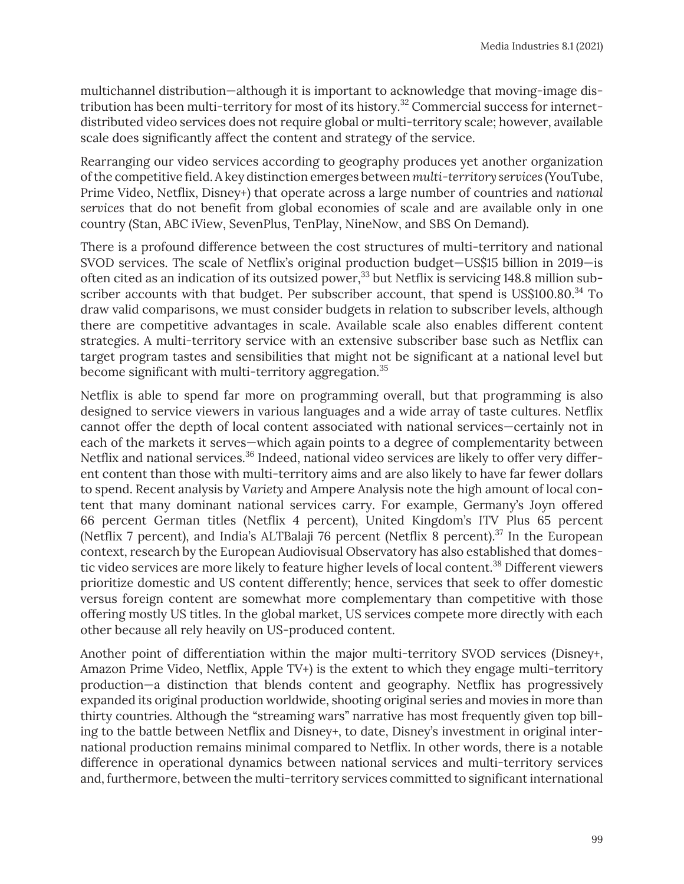multichannel distribution—although it is important to acknowledge that moving-image distribution has been multi-territory for most of its history.32 Commercial success for internetdistributed video services does not require global or multi-territory scale; however, available scale does significantly affect the content and strategy of the service.

Rearranging our video services according to geography produces yet another organization of the competitive field. A key distinction emerges between *multi-territory services* (YouTube, Prime Video, Netflix, Disney+) that operate across a large number of countries and *national services* that do not benefit from global economies of scale and are available only in one country (Stan, ABC iView, SevenPlus, TenPlay, NineNow, and SBS On Demand).

There is a profound difference between the cost structures of multi-territory and national SVOD services. The scale of Netflix's original production budget—US\$15 billion in 2019—is often cited as an indication of its outsized power,  $33$  but Netflix is servicing 148.8 million subscriber accounts with that budget. Per subscriber account, that spend is US\$100.80. $34$  To draw valid comparisons, we must consider budgets in relation to subscriber levels, although there are competitive advantages in scale. Available scale also enables different content strategies. A multi-territory service with an extensive subscriber base such as Netflix can target program tastes and sensibilities that might not be significant at a national level but become significant with multi-territory aggregation.<sup>35</sup>

Netflix is able to spend far more on programming overall, but that programming is also designed to service viewers in various languages and a wide array of taste cultures. Netflix cannot offer the depth of local content associated with national services—certainly not in each of the markets it serves—which again points to a degree of complementarity between Netflix and national services.<sup>36</sup> Indeed, national video services are likely to offer very different content than those with multi-territory aims and are also likely to have far fewer dollars to spend. Recent analysis by *Variety* and Ampere Analysis note the high amount of local content that many dominant national services carry. For example, Germany's Joyn offered 66 percent German titles (Netflix 4 percent), United Kingdom's ITV Plus 65 percent (Netflix 7 percent), and India's ALTBalaji 76 percent (Netflix 8 percent).<sup>37</sup> In the European context, research by the European Audiovisual Observatory has also established that domestic video services are more likely to feature higher levels of local content.<sup>38</sup> Different viewers prioritize domestic and US content differently; hence, services that seek to offer domestic versus foreign content are somewhat more complementary than competitive with those offering mostly US titles. In the global market, US services compete more directly with each other because all rely heavily on US-produced content.

Another point of differentiation within the major multi-territory SVOD services (Disney+, Amazon Prime Video, Netflix, Apple TV+) is the extent to which they engage multi-territory production—a distinction that blends content and geography. Netflix has progressively expanded its original production worldwide, shooting original series and movies in more than thirty countries. Although the "streaming wars" narrative has most frequently given top billing to the battle between Netflix and Disney+, to date, Disney's investment in original international production remains minimal compared to Netflix. In other words, there is a notable difference in operational dynamics between national services and multi-territory services and, furthermore, between the multi-territory services committed to significant international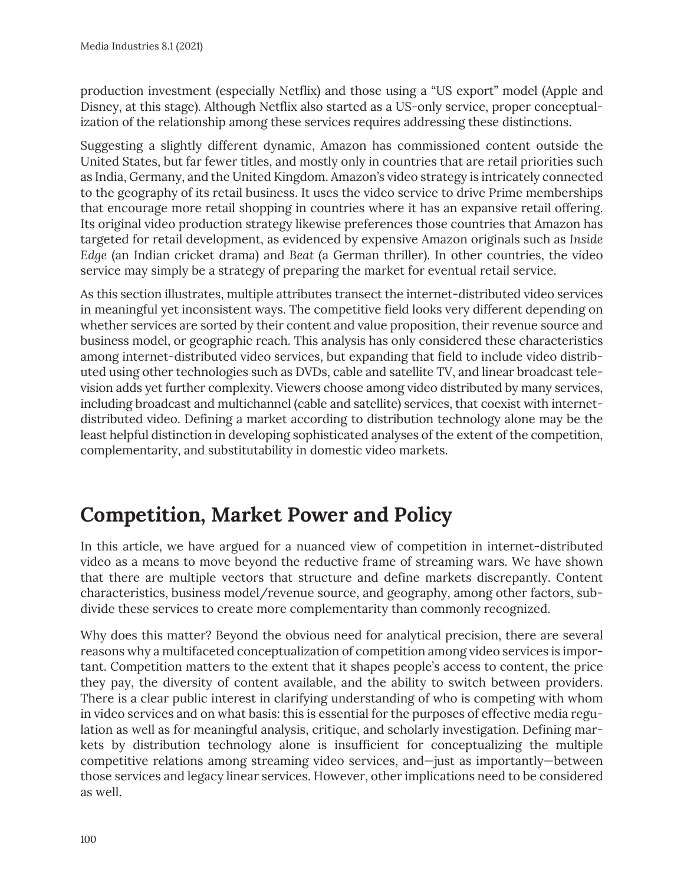production investment (especially Netflix) and those using a "US export" model (Apple and Disney, at this stage). Although Netflix also started as a US-only service, proper conceptualization of the relationship among these services requires addressing these distinctions.

Suggesting a slightly different dynamic, Amazon has commissioned content outside the United States, but far fewer titles, and mostly only in countries that are retail priorities such as India, Germany, and the United Kingdom. Amazon's video strategy is intricately connected to the geography of its retail business. It uses the video service to drive Prime memberships that encourage more retail shopping in countries where it has an expansive retail offering. Its original video production strategy likewise preferences those countries that Amazon has targeted for retail development, as evidenced by expensive Amazon originals such as *Inside Edge* (an Indian cricket drama) and *Beat* (a German thriller). In other countries, the video service may simply be a strategy of preparing the market for eventual retail service.

As this section illustrates, multiple attributes transect the internet-distributed video services in meaningful yet inconsistent ways. The competitive field looks very different depending on whether services are sorted by their content and value proposition, their revenue source and business model, or geographic reach. This analysis has only considered these characteristics among internet-distributed video services, but expanding that field to include video distributed using other technologies such as DVDs, cable and satellite TV, and linear broadcast television adds yet further complexity. Viewers choose among video distributed by many services, including broadcast and multichannel (cable and satellite) services, that coexist with internetdistributed video. Defining a market according to distribution technology alone may be the least helpful distinction in developing sophisticated analyses of the extent of the competition, complementarity, and substitutability in domestic video markets.

## **Competition, Market Power and Policy**

In this article, we have argued for a nuanced view of competition in internet-distributed video as a means to move beyond the reductive frame of streaming wars. We have shown that there are multiple vectors that structure and define markets discrepantly. Content characteristics, business model/revenue source, and geography, among other factors, subdivide these services to create more complementarity than commonly recognized.

Why does this matter? Beyond the obvious need for analytical precision, there are several reasons why a multifaceted conceptualization of competition among video services is important. Competition matters to the extent that it shapes people's access to content, the price they pay, the diversity of content available, and the ability to switch between providers. There is a clear public interest in clarifying understanding of who is competing with whom in video services and on what basis: this is essential for the purposes of effective media regulation as well as for meaningful analysis, critique, and scholarly investigation. Defining markets by distribution technology alone is insufficient for conceptualizing the multiple competitive relations among streaming video services, and—just as importantly—between those services and legacy linear services. However, other implications need to be considered as well.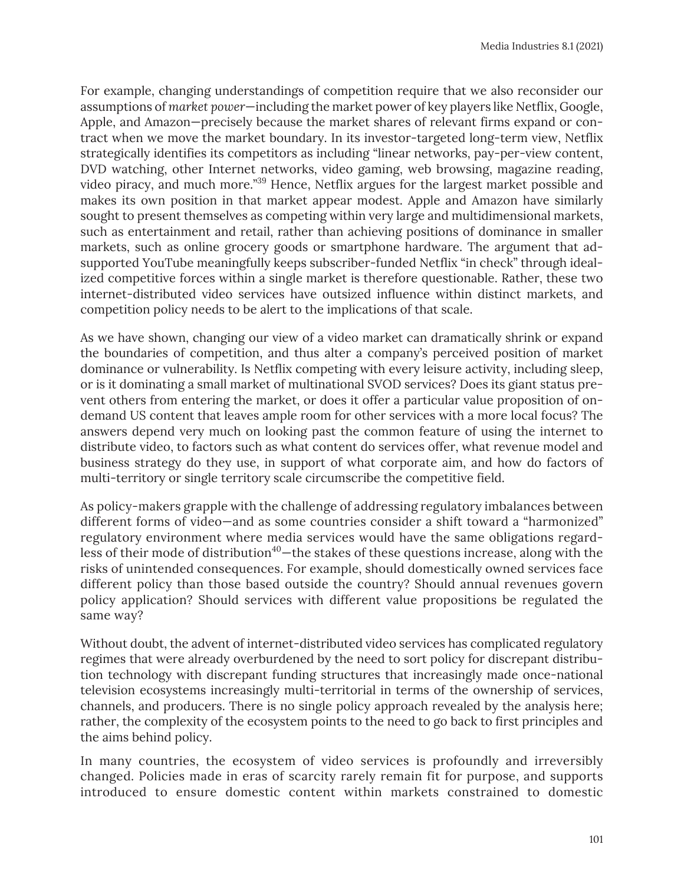For example, changing understandings of competition require that we also reconsider our assumptions of *market power*—including the market power of key players like Netflix, Google, Apple, and Amazon—precisely because the market shares of relevant firms expand or contract when we move the market boundary. In its investor-targeted long-term view, Netflix strategically identifies its competitors as including "linear networks, pay-per-view content, DVD watching, other Internet networks, video gaming, web browsing, magazine reading, video piracy, and much more."39 Hence, Netflix argues for the largest market possible and makes its own position in that market appear modest. Apple and Amazon have similarly sought to present themselves as competing within very large and multidimensional markets, such as entertainment and retail, rather than achieving positions of dominance in smaller markets, such as online grocery goods or smartphone hardware. The argument that adsupported YouTube meaningfully keeps subscriber-funded Netflix "in check" through idealized competitive forces within a single market is therefore questionable. Rather, these two internet-distributed video services have outsized influence within distinct markets, and competition policy needs to be alert to the implications of that scale.

As we have shown, changing our view of a video market can dramatically shrink or expand the boundaries of competition, and thus alter a company's perceived position of market dominance or vulnerability. Is Netflix competing with every leisure activity, including sleep, or is it dominating a small market of multinational SVOD services? Does its giant status prevent others from entering the market, or does it offer a particular value proposition of ondemand US content that leaves ample room for other services with a more local focus? The answers depend very much on looking past the common feature of using the internet to distribute video, to factors such as what content do services offer, what revenue model and business strategy do they use, in support of what corporate aim, and how do factors of multi-territory or single territory scale circumscribe the competitive field.

As policy-makers grapple with the challenge of addressing regulatory imbalances between different forms of video—and as some countries consider a shift toward a "harmonized" regulatory environment where media services would have the same obligations regardless of their mode of distribution<sup>40</sup>—the stakes of these questions increase, along with the risks of unintended consequences. For example, should domestically owned services face different policy than those based outside the country? Should annual revenues govern policy application? Should services with different value propositions be regulated the same way?

Without doubt, the advent of internet-distributed video services has complicated regulatory regimes that were already overburdened by the need to sort policy for discrepant distribution technology with discrepant funding structures that increasingly made once-national television ecosystems increasingly multi-territorial in terms of the ownership of services, channels, and producers. There is no single policy approach revealed by the analysis here; rather, the complexity of the ecosystem points to the need to go back to first principles and the aims behind policy.

In many countries, the ecosystem of video services is profoundly and irreversibly changed. Policies made in eras of scarcity rarely remain fit for purpose, and supports introduced to ensure domestic content within markets constrained to domestic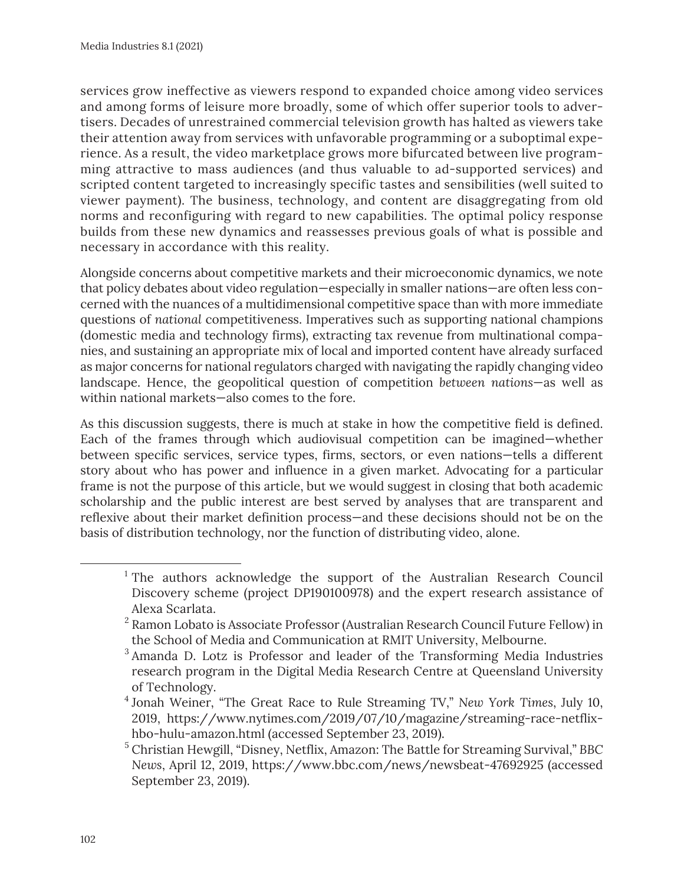services grow ineffective as viewers respond to expanded choice among video services and among forms of leisure more broadly, some of which offer superior tools to advertisers. Decades of unrestrained commercial television growth has halted as viewers take their attention away from services with unfavorable programming or a suboptimal experience. As a result, the video marketplace grows more bifurcated between live programming attractive to mass audiences (and thus valuable to ad-supported services) and scripted content targeted to increasingly specific tastes and sensibilities (well suited to viewer payment). The business, technology, and content are disaggregating from old norms and reconfiguring with regard to new capabilities. The optimal policy response builds from these new dynamics and reassesses previous goals of what is possible and necessary in accordance with this reality.

Alongside concerns about competitive markets and their microeconomic dynamics, we note that policy debates about video regulation—especially in smaller nations—are often less concerned with the nuances of a multidimensional competitive space than with more immediate questions of *national* competitiveness. Imperatives such as supporting national champions (domestic media and technology firms), extracting tax revenue from multinational companies, and sustaining an appropriate mix of local and imported content have already surfaced as major concerns for national regulators charged with navigating the rapidly changing video landscape. Hence, the geopolitical question of competition *between nations*—as well as within national markets—also comes to the fore.

As this discussion suggests, there is much at stake in how the competitive field is defined. Each of the frames through which audiovisual competition can be imagined—whether between specific services, service types, firms, sectors, or even nations—tells a different story about who has power and influence in a given market. Advocating for a particular frame is not the purpose of this article, but we would suggest in closing that both academic scholarship and the public interest are best served by analyses that are transparent and reflexive about their market definition process—and these decisions should not be on the basis of distribution technology, nor the function of distributing video, alone.

<sup>4</sup> Jonah Weiner, "The Great Race to Rule Streaming TV," *New York Times*, July 10, 2019, https://www.nytimes.com/2019/07/10/magazine/streaming-race-netflixhbo-hulu-amazon.html (accessed September 23, 2019).

<sup>&</sup>lt;sup>1</sup> The authors acknowledge the support of the Australian Research Council Discovery scheme (project DP190100978) and the expert research assistance of Alexa Scarlata.

<sup>&</sup>lt;sup>2</sup> Ramon Lobato is Associate Professor (Australian Research Council Future Fellow) in the School of Media and Communication at RMIT University, Melbourne.

<sup>&</sup>lt;sup>3</sup> Amanda D. Lotz is Professor and leader of the Transforming Media Industries research program in the Digital Media Research Centre at Queensland University of Technology.

<sup>5</sup> Christian Hewgill, "Disney, Netflix, Amazon: The Battle for Streaming Survival," *BBC News*, April 12, 2019, https://www.bbc.com/news/newsbeat-47692925 (accessed September 23, 2019).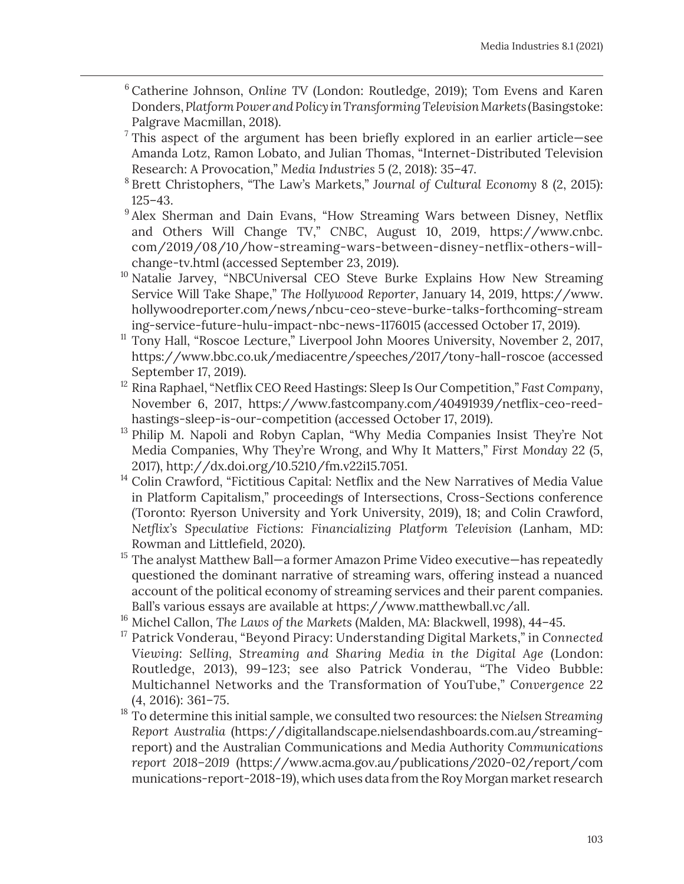- <sup>6</sup> Catherine Johnson, *Online TV* (London: Routledge, 2019); Tom Evens and Karen Donders, *Platform Power and Policy in Transforming Television Markets* (Basingstoke: Palgrave Macmillan, 2018).
- $7$  This aspect of the argument has been briefly explored in an earlier article—see Amanda Lotz, Ramon Lobato, and Julian Thomas, "Internet-Distributed Television Research: A Provocation," *Media Industries* 5 (2, 2018): 35–47.
- <sup>8</sup> Brett Christophers, "The Law's Markets," *Journal of Cultural Economy* 8 (2, 2015): 125–43.
- <sup>9</sup> Alex Sherman and Dain Evans, "How Streaming Wars between Disney, Netflix and Others Will Change TV," *CNBC*, August 10, 2019, https://www.cnbc. com/2019/08/10/how-streaming-wars-between-disney-netflix-others-willchange-tv.html (accessed September 23, 2019).
- <sup>10</sup> Natalie Jarvey, "NBCUniversal CEO Steve Burke Explains How New Streaming Service Will Take Shape," *The Hollywood Reporter*, January 14, 2019, https://www. hollywoodreporter.com/news/nbcu-ceo-steve-burke-talks-forthcoming-stream ing-service-future-hulu-impact-nbc-news-1176015 (accessed October 17, 2019).
- <sup>11</sup> Tony Hall, "Roscoe Lecture," Liverpool John Moores University, November 2, 2017, https://www.bbc.co.uk/mediacentre/speeches/2017/tony-hall-roscoe (accessed September 17, 2019).
- <sup>12</sup> Rina Raphael, "Netflix CEO Reed Hastings: Sleep Is Our Competition," *Fast Company*, November 6, 2017, https://www.fastcompany.com/40491939/netflix-ceo-reedhastings-sleep-is-our-competition (accessed October 17, 2019).
- <sup>13</sup> Philip M. Napoli and Robyn Caplan, "Why Media Companies Insist They're Not Media Companies, Why They're Wrong, and Why It Matters," *First Monday* 22 (5, 2017), http://dx.doi.org/10.5210/fm.v22i15.7051.
- <sup>14</sup> Colin Crawford, "Fictitious Capital: Netflix and the New Narratives of Media Value in Platform Capitalism," proceedings of Intersections, Cross-Sections conference (Toronto: Ryerson University and York University, 2019), 18; and Colin Crawford, *Netflix's Speculative Fictions: Financializing Platform Television* (Lanham, MD: Rowman and Littlefield, 2020).
- <sup>15</sup> The analyst Matthew Ball—a former Amazon Prime Video executive—has repeatedly questioned the dominant narrative of streaming wars, offering instead a nuanced account of the political economy of streaming services and their parent companies. Ball's various essays are available at https://www.matthewball.vc/all.
- <sup>16</sup> Michel Callon, *The Laws of the Markets* (Malden, MA: Blackwell, 1998), 44–45.
- <sup>17</sup> Patrick Vonderau, "Beyond Piracy: Understanding Digital Markets," in *Connected Viewing: Selling, Streaming and Sharing Media in the Digital Age* (London: Routledge, 2013), 99–123; see also Patrick Vonderau, "The Video Bubble: Multichannel Networks and the Transformation of YouTube," *Convergence* 22 (4, 2016): 361–75.
- <sup>18</sup> To determine this initial sample, we consulted two resources: the *Nielsen Streaming Report Australia* (https://digitallandscape.nielsendashboards.com.au/streamingreport) and the Australian Communications and Media Authority *Communications report 2018–2019* (https://www.acma.gov.au/publications/2020-02/report/com munications-report-2018-19), which uses data from the Roy Morgan market research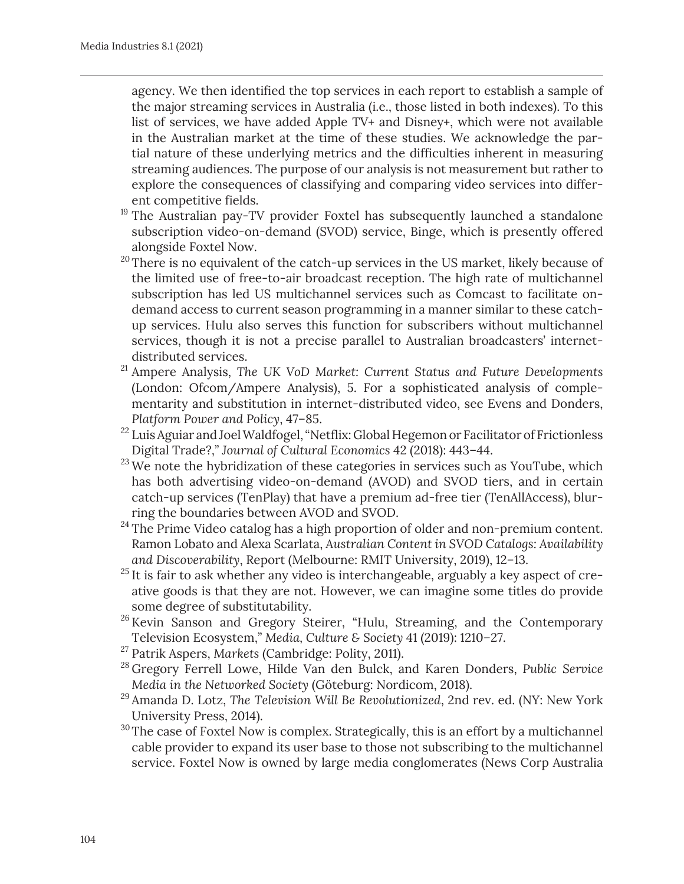agency. We then identified the top services in each report to establish a sample of the major streaming services in Australia (i.e., those listed in both indexes). To this list of services, we have added Apple TV+ and Disney+, which were not available in the Australian market at the time of these studies. We acknowledge the partial nature of these underlying metrics and the difficulties inherent in measuring streaming audiences. The purpose of our analysis is not measurement but rather to explore the consequences of classifying and comparing video services into different competitive fields.

- <sup>19</sup> The Australian pay-TV provider Foxtel has subsequently launched a standalone subscription video-on-demand (SVOD) service, Binge, which is presently offered alongside Foxtel Now.
- $20$  There is no equivalent of the catch-up services in the US market, likely because of the limited use of free-to-air broadcast reception. The high rate of multichannel subscription has led US multichannel services such as Comcast to facilitate ondemand access to current season programming in a manner similar to these catchup services. Hulu also serves this function for subscribers without multichannel services, though it is not a precise parallel to Australian broadcasters' internetdistributed services.
- <sup>21</sup> Ampere Analysis, *The UK VoD Market: Current Status and Future Developments* (London: Ofcom/Ampere Analysis), 5. For a sophisticated analysis of complementarity and substitution in internet-distributed video, see Evens and Donders, *Platform Power and Policy*, 47–85.
- $^{22}$  Luis Aguiar and Joel Waldfogel, "Netflix: Global Hegemon or Facilitator of Frictionless Digital Trade?," *Journal of Cultural Economics* 42 (2018): 443–44.
- $23$  We note the hybridization of these categories in services such as YouTube, which has both advertising video-on-demand (AVOD) and SVOD tiers, and in certain catch-up services (TenPlay) that have a premium ad-free tier (TenAllAccess), blurring the boundaries between AVOD and SVOD.
- $24$  The Prime Video catalog has a high proportion of older and non-premium content. Ramon Lobato and Alexa Scarlata, *Australian Content in SVOD Catalogs: Availability and Discoverability*, Report (Melbourne: RMIT University, 2019), 12–13.
- $25$  It is fair to ask whether any video is interchangeable, arguably a key aspect of creative goods is that they are not. However, we can imagine some titles do provide some degree of substitutability.
- <sup>26</sup> Kevin Sanson and Gregory Steirer, "Hulu, Streaming, and the Contemporary Television Ecosystem," *Media, Culture & Society* 41 (2019): 1210–27.
- <sup>27</sup> Patrik Aspers, *Markets* (Cambridge: Polity, 2011).
- <sup>28</sup> Gregory Ferrell Lowe, Hilde Van den Bulck, and Karen Donders, *Public Service Media in the Networked Society* (Göteburg: Nordicom, 2018).
- <sup>29</sup> Amanda D. Lotz, *The Television Will Be Revolutionized*, 2nd rev. ed. (NY: New York University Press, 2014).
- <sup>30</sup>The case of Foxtel Now is complex. Strategically, this is an effort by a multichannel cable provider to expand its user base to those not subscribing to the multichannel service. Foxtel Now is owned by large media conglomerates (News Corp Australia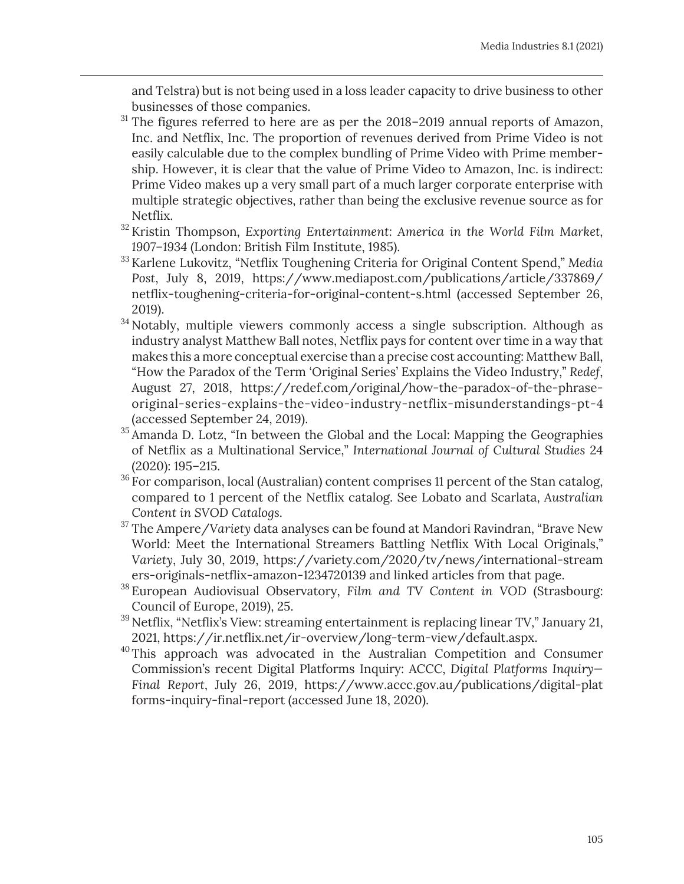and Telstra) but is not being used in a loss leader capacity to drive business to other businesses of those companies.

- $31$  The figures referred to here are as per the 2018–2019 annual reports of Amazon, Inc. and Netflix, Inc. The proportion of revenues derived from Prime Video is not easily calculable due to the complex bundling of Prime Video with Prime membership. However, it is clear that the value of Prime Video to Amazon, Inc. is indirect: Prime Video makes up a very small part of a much larger corporate enterprise with multiple strategic objectives, rather than being the exclusive revenue source as for Netflix.
- <sup>32</sup> Kristin Thompson, *Exporting Entertainment: America in the World Film Market, 1907–1934* (London: British Film Institute, 1985).
- <sup>33</sup> Karlene Lukovitz, "Netflix Toughening Criteria for Original Content Spend," *Media Post*, July 8, 2019, https://www.mediapost.com/publications/article/337869/ netflix-toughening-criteria-for-original-content-s.html (accessed September 26, 2019).
- <sup>34</sup> Notably, multiple viewers commonly access a single subscription. Although as industry analyst Matthew Ball notes, Netflix pays for content over time in a way that makes this a more conceptual exercise than a precise cost accounting: Matthew Ball, "How the Paradox of the Term 'Original Series' Explains the Video Industry," *Redef*, August 27, 2018, https://redef.com/original/how-the-paradox-of-the-phraseoriginal-series-explains-the-video-industry-netflix-misunderstandings-pt-4 (accessed September 24, 2019).
- <sup>35</sup> Amanda D. Lotz, "In between the Global and the Local: Mapping the Geographies of Netflix as a Multinational Service," *International Journal of Cultural Studies* 24 (2020): 195–215.
- $36$  For comparison, local (Australian) content comprises 11 percent of the Stan catalog, compared to 1 percent of the Netflix catalog. See Lobato and Scarlata, *Australian Content in SVOD Catalogs*.
- <sup>37</sup> The Ampere/*Variety* data analyses can be found at Mandori Ravindran, "Brave New World: Meet the International Streamers Battling Netflix With Local Originals," *Variety*, July 30, 2019, https://variety.com/2020/tv/news/international-stream ers-originals-netflix-amazon-1234720139 and linked articles from that page.
- <sup>38</sup> European Audiovisual Observatory, *Film and TV Content in VOD* (Strasbourg: Council of Europe, 2019), 25.
- $39$  Netflix, "Netflix's View: streaming entertainment is replacing linear TV," January 21, 2021, https://ir.netflix.net/ir-overview/long-term-view/default.aspx.
- <sup>40</sup>This approach was advocated in the Australian Competition and Consumer Commission's recent Digital Platforms Inquiry: ACCC, *Digital Platforms Inquiry— Final Report*, July 26, 2019, https://www.accc.gov.au/publications/digital-plat forms-inquiry-final-report (accessed June 18, 2020).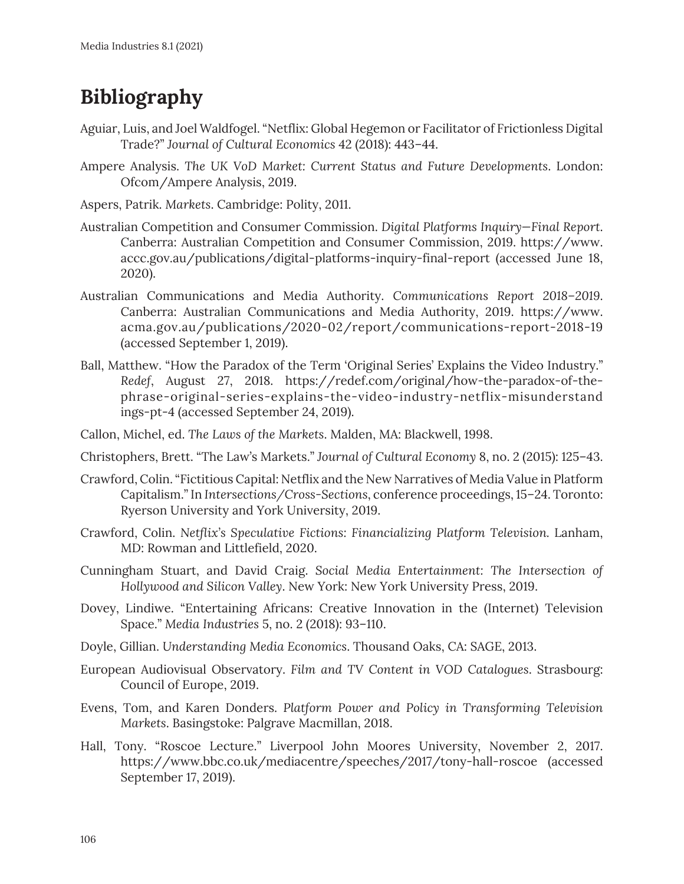# **Bibliography**

- Aguiar, Luis, and Joel Waldfogel. "Netflix: Global Hegemon or Facilitator of Frictionless Digital Trade?" *Journal of Cultural Economics* 42 (2018): 443–44.
- Ampere Analysis. *The UK VoD Market: Current Status and Future Developments*. London: Ofcom/Ampere Analysis, 2019.
- Aspers, Patrik. *Markets*. Cambridge: Polity, 2011.
- Australian Competition and Consumer Commission. *Digital Platforms Inquiry—Final Report*. Canberra: Australian Competition and Consumer Commission, 2019. https://www. accc.gov.au/publications/digital-platforms-inquiry-final-report (accessed June 18, 2020).
- Australian Communications and Media Authority. *Communications Report 2018–2019*. Canberra: Australian Communications and Media Authority, 2019. https://www. acma.gov.au/publications/2020-02/report/communications-report-2018-19 (accessed September 1, 2019).
- Ball, Matthew. "How the Paradox of the Term 'Original Series' Explains the Video Industry." *Redef*, August 27, 2018. https://redef.com/original/how-the-paradox-of-thephrase-original-series-explains-the-video-industry-netflix-misunderstand ings-pt-4 (accessed September 24, 2019).
- Callon, Michel, ed. *The Laws of the Markets*. Malden, MA: Blackwell, 1998.
- Christophers, Brett. "The Law's Markets." *Journal of Cultural Economy* 8, no. 2 (2015): 125–43.
- Crawford, Colin. "Fictitious Capital: Netflix and the New Narratives of Media Value in Platform Capitalism." In *Intersections/Cross-Sections*, conference proceedings, 15–24. Toronto: Ryerson University and York University, 2019.
- Crawford, Colin. *Netflix's Speculative Fictions: Financializing Platform Television.* Lanham, MD: Rowman and Littlefield, 2020.
- Cunningham Stuart, and David Craig. *Social Media Entertainment: The Intersection of Hollywood and Silicon Valley*. New York: New York University Press, 2019.
- Dovey, Lindiwe. "Entertaining Africans: Creative Innovation in the (Internet) Television Space." *Media Industries* 5, no. 2 (2018): 93–110.
- Doyle, Gillian. *Understanding Media Economics*. Thousand Oaks, CA: SAGE, 2013.
- European Audiovisual Observatory. *Film and TV Content in VOD Catalogues*. Strasbourg: Council of Europe, 2019.
- Evens, Tom, and Karen Donders. *Platform Power and Policy in Transforming Television Markets*. Basingstoke: Palgrave Macmillan, 2018.
- Hall, Tony. "Roscoe Lecture." Liverpool John Moores University, November 2, 2017. https://www.bbc.co.uk/mediacentre/speeches/2017/tony-hall-roscoe (accessed September 17, 2019).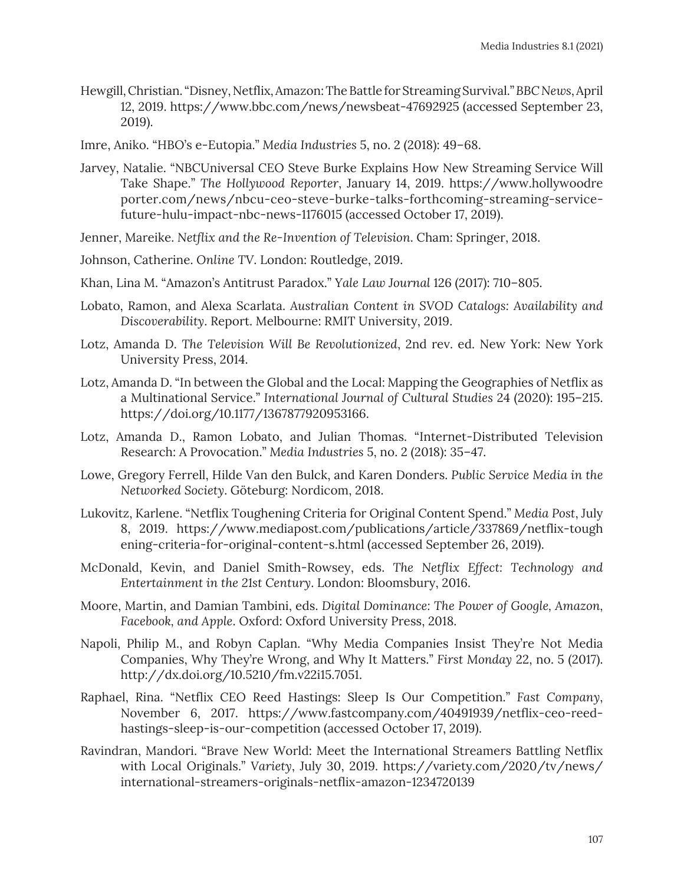- Hewgill, Christian. "Disney, Netflix, Amazon: The Battle for Streaming Survival." *BBC News*, April 12, 2019. https://www.bbc.com/news/newsbeat-47692925 (accessed September 23, 2019).
- Imre, Aniko. "HBO's e-Eutopia." *Media Industries* 5, no. 2 (2018): 49–68.
- Jarvey, Natalie. "NBCUniversal CEO Steve Burke Explains How New Streaming Service Will Take Shape." *The Hollywood Reporter*, January 14, 2019. https://www.hollywoodre porter.com/news/nbcu-ceo-steve-burke-talks-forthcoming-streaming-servicefuture-hulu-impact-nbc-news-1176015 (accessed October 17, 2019).
- Jenner, Mareike. *Netflix and the Re-Invention of Television*. Cham: Springer, 2018.
- Johnson, Catherine. *Online TV*. London: Routledge, 2019.
- Khan, Lina M. "Amazon's Antitrust Paradox." *Yale Law Journal* 126 (2017): 710–805.
- Lobato, Ramon, and Alexa Scarlata. *Australian Content in SVOD Catalogs: Availability and Discoverability*. Report. Melbourne: RMIT University, 2019.
- Lotz, Amanda D. *The Television Will Be Revolutionized*, 2nd rev. ed. New York: New York University Press, 2014.
- Lotz, Amanda D. "In between the Global and the Local: Mapping the Geographies of Netflix as a Multinational Service." *International Journal of Cultural Studies* 24 (2020): 195–215. https://doi.org/10.1177/1367877920953166.
- Lotz, Amanda D., Ramon Lobato, and Julian Thomas. "Internet-Distributed Television Research: A Provocation." *Media Industries* 5, no. 2 (2018): 35–47.
- Lowe, Gregory Ferrell, Hilde Van den Bulck, and Karen Donders. *Public Service Media in the Networked Society*. Göteburg: Nordicom, 2018.
- Lukovitz, Karlene. "Netflix Toughening Criteria for Original Content Spend." *Media Post*, July 8, 2019. https://www.mediapost.com/publications/article/337869/netflix-tough ening-criteria-for-original-content-s.html (accessed September 26, 2019).
- McDonald, Kevin, and Daniel Smith-Rowsey, eds. *The Netflix Effect: Technology and Entertainment in the 21st Century*. London: Bloomsbury, 2016.
- Moore, Martin, and Damian Tambini, eds. *Digital Dominance: The Power of Google, Amazon, Facebook, and Apple*. Oxford: Oxford University Press, 2018.
- Napoli, Philip M., and Robyn Caplan. "Why Media Companies Insist They're Not Media Companies, Why They're Wrong, and Why It Matters." *First Monday* 22, no. 5 (2017). http://dx.doi.org/10.5210/fm.v22i15.7051.
- Raphael, Rina. "Netflix CEO Reed Hastings: Sleep Is Our Competition." *Fast Company*, November 6, 2017. https://www.fastcompany.com/40491939/netflix-ceo-reedhastings-sleep-is-our-competition (accessed October 17, 2019).
- Ravindran, Mandori. "Brave New World: Meet the International Streamers Battling Netflix with Local Originals." *Variety*, July 30, 2019. https://variety.com/2020/tv/news/ international-streamers-originals-netflix-amazon-1234720139